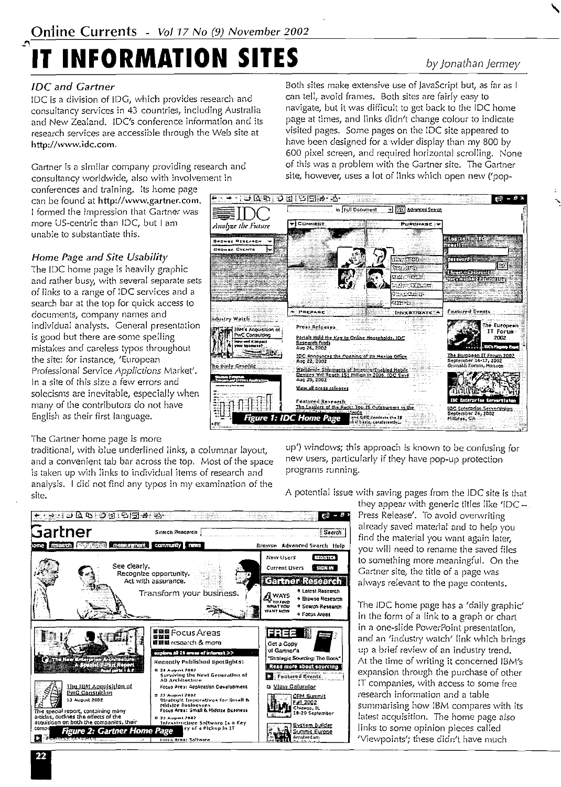# **IT INFORMATION SITES** by *Jonathan )ermey*

### *JDC and Gartner*

!DC is a division of !DG, which provides research and consultancy services in 43 countries, including Australia and New Zealand. IDC's conference information and its research services are accessible through the Web site at http://www.idc.com.

Gartner is a similar company providing research and consultancy worldwide, also with involvement in

conferences and training. Its home page can be found at http://www.gartner.com. I formed the impression that Gartner was more US-centric than JDC, but I am unable to substantiate this.

#### Home Page *and Site Usability*

The IDC home page is heavily graphic and rather busy, with several separate sets of links to a range of !DC services and a search bar at the top for quick access to documents, company names and individual analysts. General presentation is good but there are some spelling mistakes and careless typos throughout the site: for instance, 'European Professional Service *Applictions* Market'. Jn a site of this size a few errors and solecisms are inevitable, especially when many of the contributors do not have English as their first language.

#### The Gartner home page is more

traditional, with blue underlined links, a columnar layout, and a convenient tab bar across the top. Most of the space is taken up with links to individual items of research and analysis. I did not find any typos in my examination of the site.

Both sites make extensive use of JavaScript but, as far as I can tell, avoid frames. Both sites are fairly easy to navigate, but it was difficult to get back to the !DC home page at times, and links didn't change colour to indicate visited pages. Some pages on the !DC site appeared to have been designed for a wider display than my 800 by 600 pixel screen, and required horizontal scrolling. None of this was a problem with the Gartner site. The Gartner site, however, uses a lot of links which open new ('pop-



up') windows; this approach is known to be confusing for new users, particularly if they have pop-up protection programs running.

A potential issue with saving pages from the !DC site is that

they appear with generic titles like 'IDC  $-$ Press Release'. To avoid overwriting find the material you want again later.  $\frac{1}{2}$   $\frac{1}{2}$   $\frac{1}{2}$   $\frac{1}{2}$   $\frac{1}{2}$  you will need to rename the saved files to something more meaningful. On the Gartner site, the title of a page was always relevant to the page contents.

> The !DC home page has a 'daily graphic' in the form of a link to a graph or chart in a one-slide PowerPoint presentation, and an 'industry watch' link which brings up a brief review of an industry trend. At the time of writing it concerned IBM's expansion through the purchase of other IT companies, with access to some free research information and a table summarising how IBM compares with its latest acquisition. The home page also links to some opinion pieces called 'Viewpoints'; these didn't have much



 $\lambda$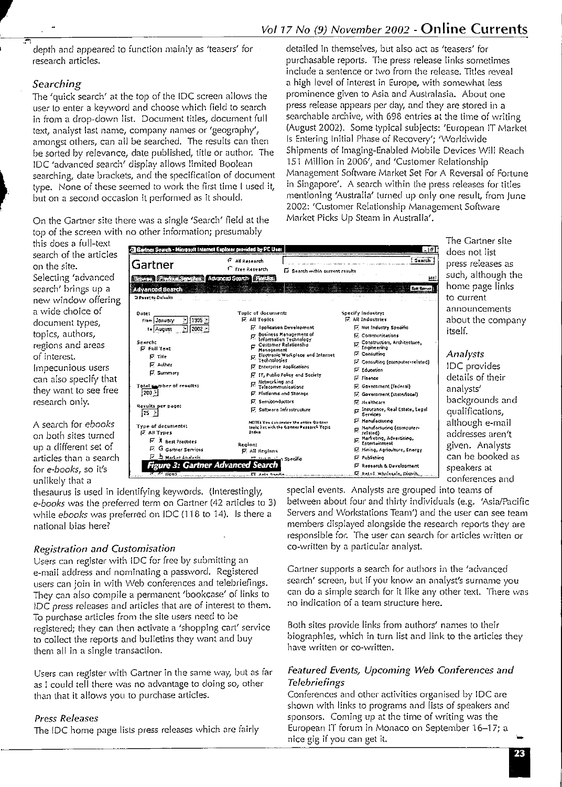depth and appeared to function mainly as 'teasers' for research articles.

#### *Searching*

,.

~··

The 'quick search' at the top of the !DC screen allows the user lo enter a keyword and choose which field to search in from a drop-clown list. Document titles, document full text, analyst last name, company names or 'geography', amongst others, can all be searched. The results can then be sorted by relevance, date published, title or author. The !DC 'advanced search' display allows limited Boolean searching, date brackets, and the specification of document type. None of these seemed to work the first time I used it, but on a second occasion it performed as it should.

On the Gartner site there was a single 'Search' field at the top of the screen with no other information; presumably

detailed in themselves, but also act as 'teasers' for purchasable reports. The press release links sometimes include a sentence or two from the release. Titles reveal a high level of interest in Europe, with somewhat less prominence given to Asia and Australasia. About one press release appears per day, and they are stored in a searchable archive, with 698 entries at the time of writing (August 2002). Some typical subjects: 'European IT Markel ls Entering Initial Phase of Recovery'; 'Worldwide Shipments of Imaging-Enabled Mobile Devices Will Reach 151 Million in 2006', and 'Customer Relationship Management Software Market Set For A Reversal of Fortune in Singapore'. A search within the press releases for titles mentioning 'Australia' turned up only one result, from June 2002: 'Customer Relationship Management Software Market Picks Up Steam in Australia'.

| this does a full-text                 |                                                                                |                                                                                       |                                                                    | ine Gann              |
|---------------------------------------|--------------------------------------------------------------------------------|---------------------------------------------------------------------------------------|--------------------------------------------------------------------|-----------------------|
| search of the articles                | Sarine: Search - Microsoft Internet Explorer provided by PC User               |                                                                                       | $\mathbb{Z}[\mathfrak{F}]$                                         | does not l            |
| on the site.                          | Gartner                                                                        | G All Research<br><sup>C</sup> Free Research                                          | Search                                                             | press rele            |
| Selecting 'advanced                   | <b>Command Committee Committee Committee</b>                                   | <b>Ex</b> Search within current results<br><b>Advanced Search   17800000</b>          | He!                                                                | such, alth            |
| search' brings up a                   | At vanced Search                                                               |                                                                                       | <b>Zehl Szerier E</b>                                              | home pas              |
| new window offering                   | <b>Different to Defaults</b>                                                   |                                                                                       |                                                                    | to current            |
| a wide choice of<br>document types,   | Date:<br>ି  1995 है।<br>From January                                           | Toole of document:<br><b>E</b> All Topics                                             | Specify Industry:<br><b>E.</b> All Industries                      | announce<br>about the |
|                                       | $   $ 2002 $  $<br>T. August                                                   | <b>R.</b> Application Development                                                     | M Not Industry Specific                                            | itself.               |
| topics, authors,<br>regions and areas | Scarch:<br><b>N</b> Full Tost                                                  | R. Business Management of<br>Information Technology<br>Customer Relationship          | F. Communications<br>ry Construction, Architecture,<br>Engineering |                       |
| of interest.                          | <b>E.</b> Title                                                                | Management<br>ry Electronic Workplace and Internet                                    | <b>E.</b> Consuming                                                | Analysts              |
| Impecunious users                     | <b>IV</b> Author                                                               | Technologies<br>F Enterprise Applications                                             | [7] Consulting [computes-related]<br><b>IV.</b> Education          | IDC provi             |
| can also specify that                 | <b>D.</b> Summary                                                              | F IT, Public Folicy and Society                                                       | E. Finance                                                         | details of            |
|                                       | Total pamber of results:                                                       | <sub>ry</sub> Networking and<br>Telecommunications                                    | 区 Government (federal)                                             | analysts'             |
| they want to see free                 | i200.⊁i                                                                        | P. Platforms and Storage                                                              | E. Government (state/local)                                        | backgroui             |
| research only.                        | Revuits per page:                                                              | F. Semiconductors<br>F. Software Infrastructure                                       | F. Healthcare                                                      |                       |
|                                       | $25 \times$                                                                    |                                                                                       | F Insurance, Real Estate, Legal<br>Services                        | qualificat            |
| A search for <i>ebooks</i>            | Type of documents:                                                             | NOTE: You can review the entire Gartner<br>tools live with the Gartner Research Topic | <b>Manufacturing</b><br><sub>17</sub> Manufacturing (computer-     | although              |
| on both sites turned                  | <b>IZ All Trues</b>                                                            | Index                                                                                 | related)<br><sub>Ex</sub> Marketing, Advertising,                  | addresses             |
| up a different set of                 | $\overline{M}$ . $\overline{A}$ hest Practices<br><b>P.</b> G gartner Services | Region:                                                                               | <b>Entertainment</b><br>E. Mining, Agriculture, Energy             | given. Ar             |
| articles than a search                | F a Market Analysis.                                                           | <b>Mail Regions</b><br><b>TEL Hot Publish Specific</b>                                | P. Publishing                                                      | can be bo             |
| for e-books, so it's                  | <b>Figure 3: Gartner Advanced Search</b>                                       |                                                                                       | I. Research & Development                                          | speakers :            |
| unlikelv that a                       | <b>IN THE NEWS</b>                                                             | நாடக்கள் பக்களிக் தந்த தந்தையையையையை                                                  | .E. Petal. Wholesale, Distrib.                                     | conferenc             |

thesaurus is used in identifying keywords. (Interestingly, *e-books* was the preferred term on Gartner (42 articles to 3) while *ebooks* was preferred on !DC (118 to 14). Is there a national bias here?

#### *Registration and Customisation*

Users can register with !DC for free by submitting an e-mail address and nominating a password. Registered users can join in with Web conferences and telebriefings. They can also compile a permanent 'bookcase' of links to JDC press releases and articles that are of interest to them. To purchase articles from the site users need to be registered; they can then activate a 'shopping cart' service to collect the reports and bulletins they want and buy them all in a single transaction.

Users can register with Gartner in the same way, but as far as I could tell there was no advantage to doing so, other than that it allows you to purchase articles.

#### *Press Releases*

The !DC home page lists press releases which are fairly

special events. Analysts are grouped into teams of between about four and thirty individuals (e.g. 'Asia/Pacific Servers and Workstations Team') and the user can see team members displayed alongside the research reports they are responsible for. The user can search for articles written or co-written by a particular analyst.

Gartner supports a search for authors in the <sup>1</sup> advancecl search' screen, but if you know an analyst's surname you. can do a simple search for it like any other text. There was no indication of a team structure here.

Both sites provide links from authors' names to their biographies, which in turn list and link to the articles they have written or co-written.

#### *Featured Events, Upcoming Web Conferences and Telebriefings*

Conferences and other activities organised by !DC are shown with links to programs and lists of speakers and sponsors. Coming up at the time of writing was the European IT forum in Monaco on September 16-17; a nice gig if you can get it.

The Gartner site does not list press releases as such, although the home page links to current announcements about the company itself.

!DC provides details of their analysts' backgrounds and qualifications, although e-mail addresses aren't given. Analysts can be booked as speakers at conferences and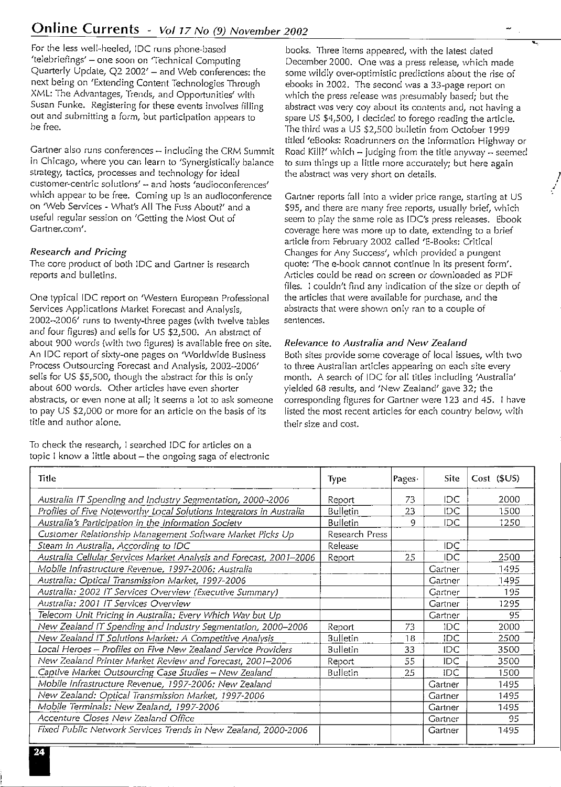For the less well-heeled, !DC runs phone-based **'te!ebriefings' - one soon on 'Technical Computing**  Quarterly Update, Q2 2002' - and Web conferences: the next being on 'Extending Content Technologies Through XML: The Advantages, Trends, and Opportunities' with Susan Funke. Registering for these events involves filling **out and submitting a form, but participation appears to**  be free.

Gartner also runs conferences  $-$  including the CRM Summit **in Chicago, vvhere you can learn to 'Synergistically balance**  strategy, tactics, processes and technology for ideal **customer-centric solutions' - and hosts 'audioconferences'**  which appear to be free. Coming up is an audioconference on 'Web Services - What's All The Fuss About?' and a useful regular session on 'Getting the Most Out of Gartner.com'.

#### *Research and Pricing*

The core product of both !DC and Gartner is research reports and bulletins.

One typical !DC report on 'Western European Professional Services Applications Market Forecast and Analysis, 2002-2006' runs to twenty-three pages (with twelve tables and four figures) and sells for US \$2,500. An abstract of about 900 words (with two figures) is available free on site. An !DC report of sixty-one pages on 'Worldwide Business Process Outsourcing Forecast and Analysis, 2002-2006' sells for US \$5,500, though the abstract for this is only about 600 words. Other articles have even shorter abstracts, or even none at all; it seems a lot to ask someone to pay US \$2,000 or more for an article on the basis of its title and author alone.

To check the research, I searched !DC for articles on a topic  $1$  know a little about  $-$  the ongoing saga of electronic

books. Three items appeared, with the latest dated December 2000. One was a press release, which made some wildly over-optimistic predictions about the rise of ebooks in 2002. The second was a 33-page report on which the press release was presumably based; but the **abstract \Vas very** *coy* **about its contents and, not having a**  spare US \$4,500, I decided to forego reading the article. The third was a US \$2,500 bulletin from October 1999 titled 'eBooks: Roadrunners on the Information Highway or Road Kill?' which  $-$  judging from the title anyway  $-$  seemed to sum things up a little more accurately; but here again the abstract was very short on details.

! ' ,

Gartner reports fall into a wider price range, starting at US \$95, and there are many free reports, usually brief, which seem to play the same role as IDC's press releases. Ebook **coverage here \Vas n1ore up to date, extending to a brief**  article from February 2002 called 'E-Books: Critical Changes for Any Success', which provided a pungent **quote: 1 The e-book cannot continue in its present form'.**  Articles could be read on screen or downloaded as PDF files. I couldn't find any indication of the size or depth of the articles that were available for purchase, and the abstracts that were shown only ran to a couple of **sentences.** 

#### *Relevance to Australia and New Zealand*

Both sites provide some coverage of local issues, with two **to three Australian articles appearing on each site every**  month. A search of !DC for all titles including 'Australia' yielded 68 results, and 'New Zealand' gave 32; the corresponding figures for Gartner were 123 and 45. I have listed the most recent articles for each country below, with their size and cost.

| Title                                                                | <b>Type</b>     | $\vert$ Pages $\cdot$ | <b>Site</b> | Cost (\$US) |
|----------------------------------------------------------------------|-----------------|-----------------------|-------------|-------------|
| Australia IT Spending and Industry Segmentation, 2000-2006           | Report          | 73                    | IDC.        | 2000        |
| Profiles of Five Noteworthy Local Solutions Integrators in Australia | Bulletin        | 23                    | IDC.        | 1500        |
| Australia's Participation in the Information Society                 | <b>Bulletin</b> | 9                     | IDC.        | 1250        |
| Customer Relationship Management Software Market Picks Up            | Research Press  |                       |             |             |
| Steam in Australia, According to IDC                                 | Release         |                       | IDC.        |             |
| Australia Cellular Services Market Analysis and Forecast, 2001-2006  | Report          | 25                    | IDC         | 2500        |
| Mobile Infrastructure Revenue, 1997-2006: Australia                  |                 |                       | Gartner     | 1495        |
| Australia: Optical Transmission Market, 1997-2006                    |                 |                       | Gartner     | 1495        |
| Australia: 2002 IT Services Overview (Executive Summary)             |                 |                       | Gartner     | 195         |
| Australia: 2001 IT Services Overview                                 |                 |                       | Gartner     | 1295        |
| Telecom Unit Pricing in Australia: Every Which Way but Up            |                 |                       | Gartner     | 95          |
| New Zealand IT Spending and Industry Segmentation, 2000-2006         | Report          | 73                    | IDC         | 2000        |
| New Zealand IT Solutions Market: A Competitive Analysis              | <b>Bulletin</b> | 18                    | IDC.        | 2500        |
| Local Heroes - Profiles on Five New Zealand Service Providers        | <b>Bulletin</b> | 33                    | <b>IDC</b>  | 3500        |
| New Zealand Printer Market Review and Forecast, 2001-2006            | Report          | 55                    | IDC         | 3500        |
| Captive Market Outsourcing Case Studies - New Zealand                | <b>Bulletin</b> | 25                    | IDC         | 1500        |
| Mobile Infrastructure Revenue, 1997-2006: New Zealand                |                 |                       | Gartner     | 1495        |
| New Zealand: Optical Transmission Market, 1997-2006                  |                 |                       | Gartner     | 1495        |
| Mobile Terminals: New Zealand, 1997-2006                             |                 |                       | Gartner     | 1495        |
| Accenture Closes New Zealand Office                                  |                 |                       | Gartner     | 95          |
| Fixed Public Network Services Trends in New Zealand, 2000-2006       |                 |                       | Gartner     | 1495        |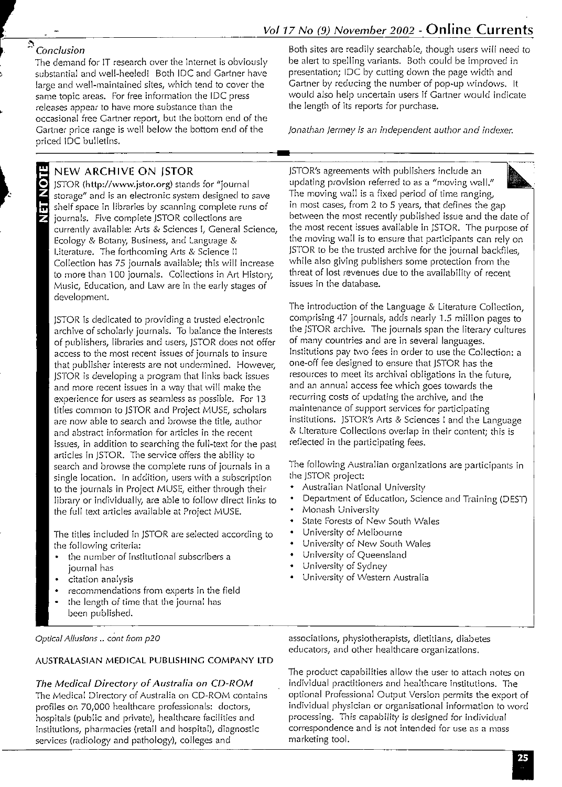NOTE

出

The demand for IT research over the Internet is obviously be alert to spelling variants. Both could be improved in<br>substantial and well-heeled! Both IDC and Gartner have presentation; IDC by cutting down the page width and substantial and well-heeled! Both IDC and Gartner have presentation; IDC by cutting down the page width and su<br>large and well-maintained sites, which tend to cover the Gartner by reducing the number of pop-up windows. It large and well-maintained sites, which tend to cover the releases appear to have more substance than the occasional free Gartner report, but the bottom end of the Gartner price range is well below the bottom end of the priced IDC bulletins.

### NEW ARCHIVE ON JSTOR

JSTOR (http://www.jstor.org) stands for "journal storage" and is an electronic system designed to save shelf space in libraries by scanning complete runs of journals. Five complete JSTOR collections are currently available: Arts & Sciences I, General Science, Ecology & Botany, Business, and Language & Literature. The forthcoming Arts & Science II Collection has 75 journals available; this will increase to more than 100 journals. Collections in Art History, Music, Education, and Law are in the early stages of development.

JSTOR is dedicated to providing a trusted electronic archive of scholarly journals. To balance the interests of publishers, libraries and users, JSTOR does not offer access to the most recent issues of journals to insure that publisher interests are not undermined. However, JSTOR is developing a program that links back issues and more recent issues in a way that will make the experience for users as seamless as possible. For 13 titles common to JSTOR and Project MUSE, scholars are now able to search and browse the title, author and abstract information for articles in the recent issues, in addition to searching the full-text for the past articles in JSTOR. The service offers the ability to search and browse the complete runs of journals in a single location. In addition, users with a subscription to the journals in Project MUSE, either through their library or individually, are able to follow direct links to the full text articles available at Project MUSE.

The titles included in JSTOR are selected according to the following criteria:

- the number of institutional subscribers a journal has
- citation analysis
- recommendations from experts in the field
- the length of time that the journal has been published.

*Optical Allusions* .. cont from p20

### AUSTRALASIAN MEDICAL PUBLISHING COMPANY LTD

*The Medical Directory of Australia on CD-ROM*  The Medical Directory of Australia on CD-ROM contains profiles on 70,000 healthcare professionals: doctors, hospitals (public and private), healthcare facilities and institutions, pharmacies (retail and hospital), diagnostic services (radiology and pathology), colleges and

*\**<br>• Conclusion<br><sup>2</sup> Conclusion<br>The demand for IT research over the Internet is obviously<br>the alert to spelling variants. Both could be improved in same topic areas. For free information the IDC press would also help uncertain users if Gartner would indicate<br>releases appear to have more substance than the state of the length of its reports for purchase.

*Jonathan Jermey is an independent author and indexer.* 

JSTOR's agreements with publishers include an updating provision referred to as a "moving wall." The moving wall is a fixed period of time ranging, in most cases, from 2 to 5 years, that defines the gap between the most recently published issue and the date of the most recent issues available in JSTOR. The purpose of the moving wall is to ensure that participants can rely on JSTOR to be the trusted archive for the journal backfiles, while also giving publishers some protection from the threat of lost revenues due to the availability of recent issues in the database.

The introduction of the Language & Literature Collection, comprising 47 journals, adds nearly 1.5 million pages to the JSTOR archive. The journals span the literary cultures of many countries and are in several languages. Institutions pay two fees in order to use the Collection: a one-off fee designed to ensure that JSTOR has the resources to meet its archival obligations in the future, and an annual access fee which goes towards the recurring costs of updating the archive, and the maintenance of support services for participating institutions. JSTOR's Arts & Sciences I and the Language & Literature Collections overlap in their content; this is reflected in the participating fees.

The following Australian organizations are participants in the JSTOR project:

- Australian National University
- Department of Education, Science and Training (DEST)
- Monash University
- State Forests of New South Wales
- University of Melbourne
- University of New South Wales
- University of Queensland
- University of Sydney
- University of Western Australia

associations, physiotherapists, dietitians, diabetes educators, and other healthcare organizations.

The product capabilities allow the user to attach notes on individual practitioners and healthcare institutions. The optional Professional Output Version permits the export of individual physician or organisational information to word processing. This capability is designed for individual correspondence and is not intended for use as a mass marketing tool.

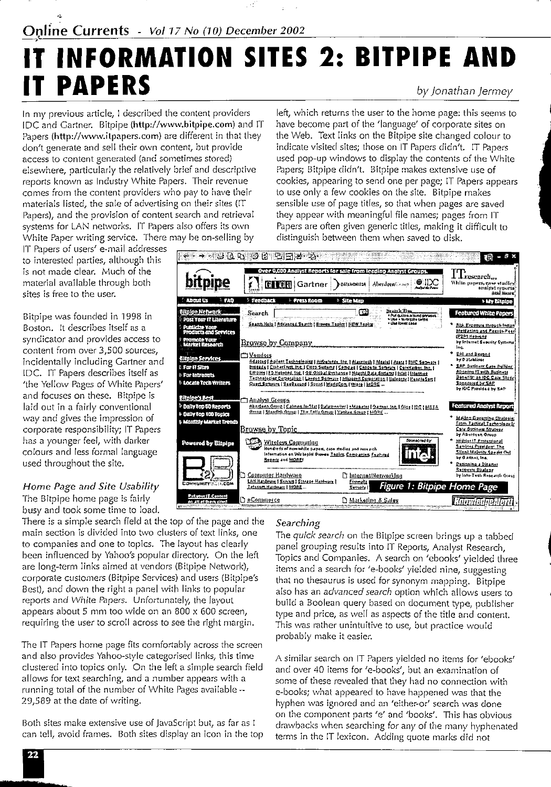## **IT INFORMATION SITES 2: BITPIPE AND IT PAPERS**  *by Jonathan jermey*

In my previous article, I described the content providers IDC and Gartner. Bitpipe (http://www.bitpipe.com) and IT Papers (http://www.itpapers.com) are different in that they don't generate and sell their own content, but provide access to content generated (and sometimes stored) elsewhere, particularly the relatively brief and descriptive reports known as Industry White Papers. Their revenue comes from the content providers who pay to have their materials listed, the sale of advertising on their sites (IT Papers), and the provision of content search and retrieval systems for LAN networks. IT Papers also offers its own White Paper writing service. There may be on-selling by

IT Papers of users' e-mail addresses to interested parties, although this is not made clear. Much of the material available through both sites is free to the user.

Bitpipe was founded in 1998 in Boston. It describes itself as a syndicator and provides access to content from over 3,500 sources, incidentally including Gartner and IDC. IT Papers describes itself as 'the Yellow Pages of White Papers' and focuses on these. Bitpipe is laid out in a fairly conventional way and gives the impression of corporate responsibility; IT Papers has a younger feel, with darker colours and less formal language used throughout the site.

#### *Home Page and Site Usability*

There is a simple search field at the top of the page and the *Searching* main section is divided into two clusters of text links, one The *quick search* on the Bitpipe screen brings up a tabbed to companies and one to topics. The layout has clearly panel grouping results into IT Reports, Analyst Research,<br>been influenced by Yahoo's popular directory. On the left Topics and Companies - A search on 'gbooks' vialded are long-term links aimed at vendors (Bitpipe Network), items and a search for 'e-books' yielded nine, suggesting<br>Corporate customers (Bitpipe Services) and users (Bitpipe's ithat no thesaurus is used for synonym manning. corporate customers (Bitpipe Services) and users (Bitpipe's that no thesaurus is used for synonym mapping. Bitpipe<br>Best), and down the right a panel with links to popular that no thes an advanced search ontion which allows Best), and down the right a panel with links to popular also has an *advanced search option which allows users to*<br>reports and White Papers. Unfortunately, the layout and build a Boolean query based on document type, publi appears about 5 mm too wide on an 800 x 600 screen, type and price, as well as aspects of the title and content.<br>requiring the user to scroll across to see the right margin. This was rather unintuitive to use, but practice

The IT Papers home page fits comfortably across the screen and also provides Yahoo-style categorised links, this time clustered into topics only. On the left a simple search field allows for text searching, and a number appears with a running total of the number of White Pages available  $-$ 29,589 at the date of writing.

Both sites make extensive use of JavaScript but, as far as I can tell, avoid frames. Both sites display an icon in the top

left, which returns the user to the home page: this seems to have become part of the 'language' of corporate sites on the Web. Text links on the Bitpipe site changed colour to indicate visited sites; those on IT Papers didn't. IT Papers used pop-up windows to display the contents of the White Papers; Bitpipe didn't. Bitpipe makes extensive use of cookies, appearing to send one per page; IT Papers appears to use only a few cookies on the site. Bitpipe makes sensible use of page titles, so that when pages are saved they appear with meaningful file names; pages from IT Papers are often given generic titles, making it difficult to distinguish between them when saved to disk.



been influenced by Yahoo's popular directory. On the left Topics and Companies. A search on 'ebooks' yielded three<br>are long-term links aimed at vendors (Bitpipe Network), Thems and a search for 'e-books' vielded nine, sugg reports and White Papers. Unfortunately, the layout build a Boolean query based on document type, publisher<br>appears about 5 mm too wide on an 800 x 600 screen, the pape and price, as well as aspects of the title and conten This was rather unintuitive to use, but practice would probably make it easier.

> A similar search on IT Papers yielded no items for 'ebooks' and over 40 items for 'e-books', but an examination of some of these revealed that they had no connection with e-books; what appeared to have happened was that the hyphen was ignored and an 'either-or' search was done on the component parts 'e' and 'books'. This has obvious drawbacks when searching for any of the many hyphenated terms in the IT lexicon. Adding quote marks did not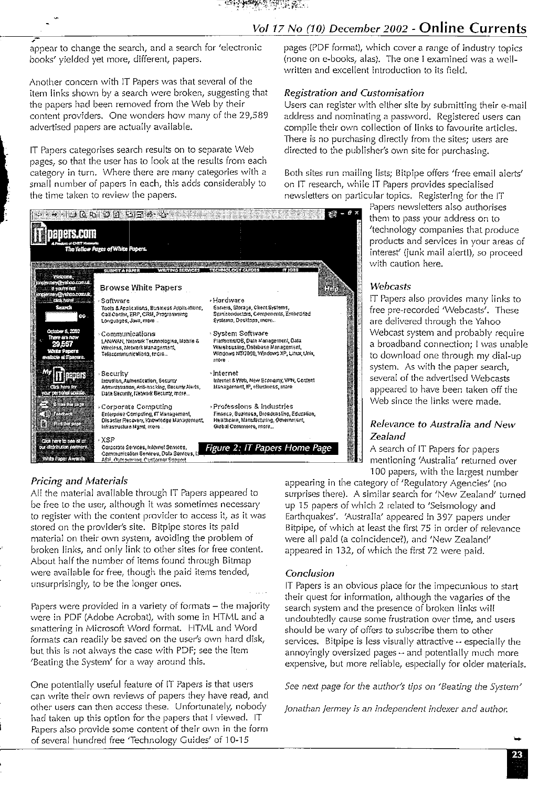### Vol 17 No (10) December 2002 - Online Currents

appear to change the search, and a search for 'electronic books' vielded vet more, different, papers.

Another concern with IT Papers was that several of the item links shown by a search were broken, suggesting that the papers had been removed from the Web by their content providers. One wonders how many of the 29,589 advertised papers are actually available.

IT Papers categorises search results on to separate Web pages, so that the user has to look at the results from each category in turn. Where there are many categories with a small number of papers in each, this adds considerably to the time taken to review the papers.



#### **Pricing and Materials**

All the material available through IT Papers appeared to be free to the user, although it was sometimes necessary to register with the content provider to access it, as it was stored on the provider's site. Bitpipe stores its paid material on their own system, avoiding the problem of broken links, and only link to other sites for free content. About half the number of items found through Bitmap were available for free, though the paid items tended, unsurprisingly, to be the longer ones.

Papers were provided in a variety of formats - the majority were in PDF (Adobe Acrobat), with some in HTML and a smattering in Microsoft Word format. HTML and Word formats can readily be saved on the user's own hard disk, but this is not always the case with PDF; see the item 'Beating the System' for a way around this.

One potentially useful feature of IT Papers is that users can write their own reviews of papers they have read, and other users can then access these. Unfortunately, nobody had taken up this option for the papers that I viewed. IT Papers also provide some content of their own in the form of several hundred free 'Technology Guides' of 10-15

pages (PDF format), which cover a range of industry topics (none on e-books, alas). The one I examined was a wellwritten and excellent introduction to its field.

#### **Registration and Customisation**

Users can register with either site by submitting their e-mail address and nominating a password. Registered users can compile their own collection of links to favourite articles. There is no purchasing directly from the sites; users are directed to the publisher's own site for purchasing.

Both sites run mailing lists; Bitpipe offers 'free email alerts' on IT research, while IT Papers provides specialised newsletters on particular topics. Registering for the IT

> Papers newsletters also authorises them to pass your address on to 'technology companies that produce products and services in your areas of interest' (junk mail alertl), so proceed with caution here.

#### Webcasts

IT Papers also provides many links to free pre-recorded 'Webcasts'. These are delivered through the Yahoo Webcast system and probably require a broadband connection; I was unable to download one through my dial-up system. As with the paper search, several of the advertised Webcasts appeared to have been taken off the Web since the links were made.

#### Relevance to Australia and New Zealand

A search of IT Papers for papers mentioning 'Australia' returned over 100 papers, with the largest number

appearing in the category of 'Regulatory Agencies' (no surprises there). A similar search for 'New Zealand' turned up 15 papers of which 2 related to 'Seismology and Earthquakes'. 'Australia' appeared in 397 papers under Bitpipe, of which at least the first 75 in order of relevance were all paid (a coincidence?), and 'New Zealand' appeared in 132, of which the first 72 were paid.

#### Conclusion

IT Papers is an obvious place for the impecunious to start their quest for information, although the vagaries of the search system and the presence of broken links will undoubtedly cause some frustration over time, and users should be wary of offers to subscribe them to other services. Bitpipe is less visually attractive  $\rightarrow$  especially the annoyingly oversized pages  $\rightarrow$  and potentially much more expensive, but more reliable, especially for older materials.

See next page for the author's tips on 'Beating the System'

Jonathan Jermey is an independent indexer and author.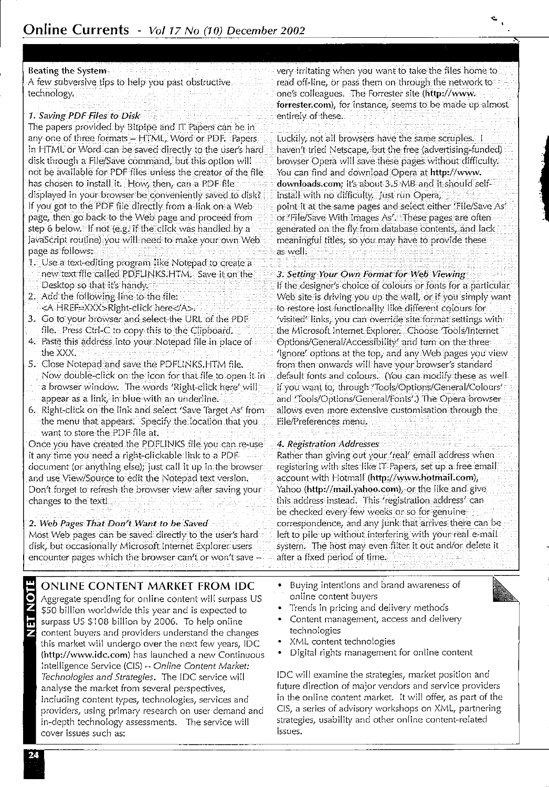#### Beating the System

A few subversive tips to help you past obstructive technology.

#### *1. Saving PDF Ries to Disk*

The papers provided by Bitpipe and IT Papers can be in any one of three formats - HTML, Word or PDF. Papers in HTML or Word can be saved directly to the user's hard disk through a File/Save command, but this option will not be available for PDF files unless the creator of the file has chosen to install it. How, then, can a PDF file displayed in your browser be conveniently saved to disk? If you got to the PDF file directly from a link on a Web page, then go back to the Web page and proceed from step 6 below. If not (e.g. if the click was handled by a JavaScript routine) you will need to make your own Web page as follows:

- 1. Use a text-editing program like Notepad to create a new text file called PDFLINKS.HTM. Save it on the
- Desktop so that it's handy.
- 2. Add the following line to the file:
- <A HREF=XXX>Right-click here</A>.
- 3. Go to your browser and select the URL of the PDF
- file. Press Ctr!-C to copy this to the Clipboard.
- 4. Paste this address into your Notepad file in place of the XXX.
- 5. Close Notepad and save the PDFUNKS.HTM file. Now double-click on the icon for that file to open it in a browser window. The words 'Right-click here' will
- 
- appear as a link, in blue with an underline.
- 6. Right-click on the link and select 'Save Target As' from the menu that appears. Specify the location that you want to store the PDF file at.

Once you have created the PDFLINKS file you can re-use it any time you need a right-clickable link to a PDF document (or anything else); just call it up in the browser and use View/Source to edit the Notepad text version. Don't forget to refresh the browser view after saving your changes to the text!

#### *2. Web Pages That Don't Want* to *be Saved*

Most Web pages can be saved directly to the user's hard disk, but occasionally Microsoft Internet Explorer users encounter pages which the browser can't or won't save -

**ONLINE CONTENT MARKET FROM IDC**  Aggregate spending for online content will surpass US

\$50 billion worldwide this year and is expected to surpass US \$108 billion by 2006. To help online **content buyers and providers understand the changes**  this market will undergo over the next few years, !DC (http://www.idc.com) has launched a new Continuous Intelligence Service (CIS) - *Online Content Market: Technologies and Strategies.* The !DC service will **analyse the market from several perspectives, including content types, technologies, services and providers, using primary research on user demand and**  in-depth technology assessments. The service will **cover issues such as:** 

very irritating when you want to take the files home to read off-line, or pass them on through the network to one's colleagues. The Forrester site (http://www. forrester.com), for instance, seems to be made up almost entirely of these.

Luckily, not all browsers have the same scruples. haven't tried Netscape, but the free (advertising-funded) browser Opera will save these pages without difficulty. You can find and download Opera at http://www. downloads.com; it's about 3.5 MB and it should selfinstallwith no difficulty. just run Opera, point it at the.same pages and select either 'File/Save As' or 'File/Save With Images As', These pages are often generated on the fly from database contents, and lack meaningful titles, so you may have to provide these as well.

#### *3. Setting Your Own Format for Web Viewing*

If the.designer's choice of colours or fonts for a particular Web site is driving you up the wall, or if you simply want to restore lost functionality like different colours for 'visited' links, you can override site format settings with the Microsoft Internet Explorer. Choose 'Tools/Internet Options/General/Accessibility' and turn on the three **'Ignore' options at the top, and any Web pages you vie\V**  from then onwards will have your browser's standard default fonts and colours. (You can modify these as well if you want to, through 'Tools/Options/General/Colours' and 'Tools/Options/General/Fonts'.) The Opera browser allows even more extensive customisation through the file/Preferences menu.

#### *4. Registration Addresses*

Rather than giving out your 'real' email address when registering with sites like IT Papers, set up a free email account with Hotmail (http://www.hotmail.com), Yahoo (http://mail.yahoo.com), or the like and give **this address instead. This 'registration address' can**  be checked every few weeks or so for genuine **correspondence, and any junk that arrives there can be**  left to pile up without interfering with *your* real e-mail system. The host may even filter it out and/or delete it after a fixed period of time.

- **Buying intentions and brand awareness of on!ine content buyers**
- Trends in pricing and delivery methods
- **Content management, access and delivery**  technologies
- XML content technologies
- **Digital rights management for on line content**

!DC will examine the strategies, market position and **future direction of major vendors and service providers**  in the online content market. It will offer, as part of the CIS, a series of advisory workshops on XML, partnering strategies, usability and other online content-related **issues.** 

Z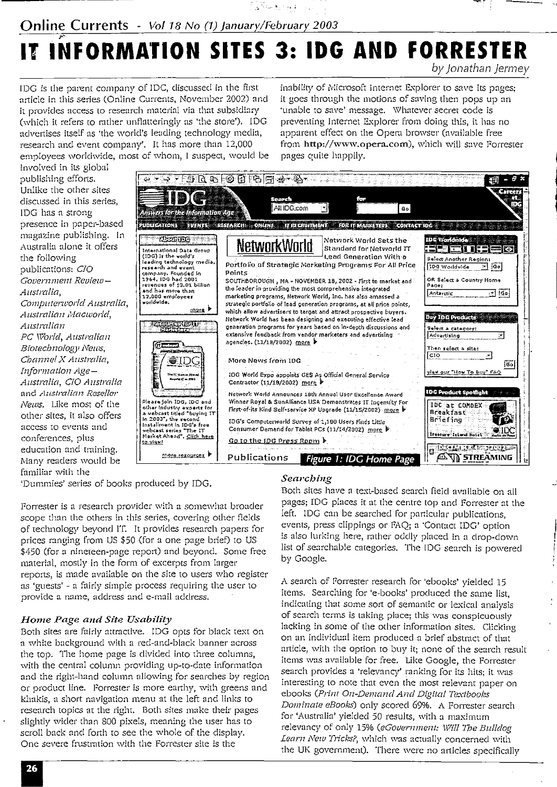## **Online Currents** - *Vol 18 No (1) January/February 2003*

## IT INFORMATION SITES 3: IDG AND FORRESTER by Jonathan Jermey

المواروق معاقبين

IDG is the parent company of IDC, discussed in the first article in this series (Online Currents, November 2002) and it provides access to research material via that subsidiary (which it refers to rather unflatteringly as 'the store'). IDG advertises itself as 'the world's leading technology media, research and event company'. It has more than 12,000 employees worldwide, most of whom, I suspect, would be

inability of Microsoft Internet Explorer to save its pages; it goes through the motions of saving then pops up an 'unable to save' message. Whatever secret code is preventing Internet Explorer from doing this, it has no apparent effect on the Opera browser (available free from http://www.opera.com), which will save Forrester pages quite happily.

involved in its global publishing efforts.  $\begin{picture}(130,10) \put(0,0){\line(1,0){10}} \put(15,0){\line(1,0){10}} \put(15,0){\line(1,0){10}} \put(15,0){\line(1,0){10}} \put(15,0){\line(1,0){10}} \put(15,0){\line(1,0){10}} \put(15,0){\line(1,0){10}} \put(15,0){\line(1,0){10}} \put(15,0){\line(1,0){10}} \put(15,0){\line(1,0){10}} \put(15,0){\line(1,0){10}} \put(15,0){\line($ Unlike the other sites discussed in this series, All IDG.com न्न  $60$ IDG has a strong **Answers for the Information Age** presence in paper-based PUDLICATIONS EVENTS RESEARCH ONLINE IT RECRUITMENT FOR IT MARKETERS CONTACT IDG magazine publishing. In **Altantice** Network World Sets the NetworkWorld Australia alone it offers Standard for Networld TT 1320 EN 017  $\Box$ (IDG) is the world's Lead Generation With a the following Select Another Region (1007) is the world's<br>research and event<br>company, Founded in<br>1964, IDG had 2001 Portfolio of Strategic Morketing Programs For All Price  $\overline{\Xi}$  [ao] 100 Worldwide publications: CIO Points Government Review-SOUTHBOROUGH, MA - NOVEMBER 18, 2002 - First to market and OR Select a Country Home  $\begin{array}{l} \textbf{1} & \textbf{1} & \textbf{1} & \textbf{1} & \textbf{1} & \textbf{1} & \textbf{1} \\ \textbf{2} & \textbf{3} & \textbf{4} & \textbf{5} & \textbf{5} & \textbf{6} & \textbf{1} \\ \textbf{3} & \textbf{5} & \textbf{6} & \textbf{7} & \textbf{8} & \textbf{1} & \textbf{1} \\ \textbf{4} & \textbf{7} & \textbf{8} & \textbf{1} & \textbf{1} & \textbf{1} & \textbf{1} \\ \textbf{5} & \textbf{1} & \textbf$ Page the leader in providing the most comprehensive integrated Australia. Antarctic  $\Box$  [60] marketing programs, Network World, Inc. has also amassed a Computerworld Australia, strategic portfolio of lead generation programs, at all price points,  $_{max}$ which allow advertisers to target and attract prospective buyers. Australian Macworld, day TDC Products Network World has been designing and executing effective lead <u> Edition</u> Australian generation programs for years based on in-depth discussions and Select a category: extensive feedback from vendor marketers and advertising Advertising PC World, Australian ä, agencies. (11/18/2002) more ਰਜ਼ੀ Biotechnology News, Then select a site: **CIO** ⋥ Channel X Australia, **DG** More News from IDG iso | Information Ageylaw our "How To Buy" FAQ .<br>NGC 1420 VI AS<br>Magaling IT on Jim IDG World Expo appoints GES As Official General Service Australia, CIO Australia Contractor (11/18/2002) more **IDC Product Spotlig** and Australian Reseller Network World Announces 18th Annual User Excellence Award Please join IDG, IDC and<br>other Industry experts for<br>a vebcast titled "Buying IT<br>in 2003", the second Winner Royal & SunAlliance USA Demonstrates IT Ingenuity For News. Like most of the IDC at COMDEX First-of-its Kind Self-service XP Upgrade (11/15/2002) more b Breakfast other sites, it also offers œ Briefing IDG's Computerworld Survey of 1,100 Users Finds Little In 2003 , are second<br>Installment in 10G's free<br>webcast series "The IT"<br>Narket Ahead", <u>Click here</u> access to events and Consumer Demand for Tablet PCs (11/14/2002) more Treasure Island Hotel conferences, plus <u> Linimas Acar</u> to view! <u>Go to the IDG Press Room  $\flat$ </u> education and training. more resources. Publications **AND STREAMING** Figure 1: IDC Home Page Many readers would be

'Dummies' series of books produced by IDG.

familiar with the

Forrester is a research provider with a somewhat broader scope than the others in this series, covering other fields of technology beyond IT. It provides research papers for prices ranging from US \$50 (for a one page brief) to US \$450 (for a nineteen-page report) and beyond. Some free material, mostly in the form of excerpts from larger reports, is made available on the site to users who register as 'guests' - a fairly simple process requiring the user to provide a name, address and e-mail address.

#### Home Page and Site Usability

Both sites are fairly attractive. IDG opts for black text on a white background with a red-and-black banner across the top. The home page is divided into three columns, with the central column providing up-to-date information and the right-hand column allowing for searches by region or product line. Forrester is more earthy, with greens and khakis, a short navigation menu at the left and links to research topics at the right. Both sites make their pages slightly wider than 800 pixels, meaning the user has to scroll back and forth to see the whole of the display. One severe frustration with the Forrester site is the

#### Searching

Both sites have a text-based search field available on all pages; IDG places it at the centre top and Forrester at the left. IDG can be searched for particular publications, events, press clippings or FAQ; a 'Contact IDG' option is also lurking here, rather oddly placed in a drop-down list of searchable categories. The IDG search is powered by Google.

A search of Forrester research for 'ebooks' yielded 15 items. Searching for 'e-books' produced the same list. indicating that some sort of semantic or lexical analysis of search terms is taking place; this was conspicuously lacking in some of the other information sites. Clicking on an individual item produced a brief abstract of that article, with the option to buy it; none of the search result items was available for free. Like Google, the Forrester search provides a 'relevancy' ranking for its hits; it was interesting to note that even the most relevant paper on ebooks (Print On-Demand And Digital Textbooks Dominate eBooks) only scored 69%. A Forrester search for 'Australia' yielded 50 results, with a maximum relevancy of only 15% (eGovernment: Will The Bulldog Learn New Tricks?, which was actually concerned with the UK government). There were no articles specifically